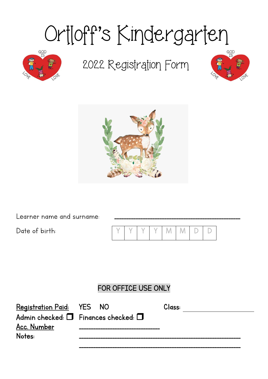# Ortloff's Kindergarten



## 2022 Registration Form





Learner name and surname:

Date of birth:

|  |  | YYYYMMDD |  |  |
|--|--|----------|--|--|

## FOR OFFICE USE ONLY

| Registration Paid: YES NO                      |  | Class: |
|------------------------------------------------|--|--------|
| Admin checked: $\Box$ Finances checked: $\Box$ |  |        |
| Acc. Number                                    |  |        |
| Notes:                                         |  |        |
|                                                |  |        |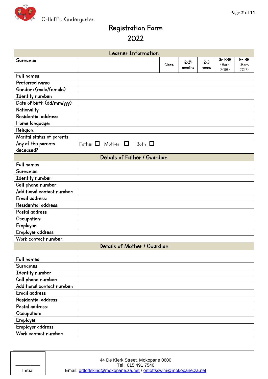

## Registration Form 2022

| <b>Learner Information</b> |                                            |        |  |                     |                  |                           |                          |
|----------------------------|--------------------------------------------|--------|--|---------------------|------------------|---------------------------|--------------------------|
| Surname:                   |                                            | Class: |  | $12 - 24$<br>months | $2 - 3$<br>years | Gr. RRR<br>(Born<br>2018) | Gr. RR<br>(Born<br>2017) |
| Full names:                |                                            |        |  |                     |                  |                           |                          |
| Preferred name:            |                                            |        |  |                     |                  |                           |                          |
| Gender: (male/female)      |                                            |        |  |                     |                  |                           |                          |
| Identity number:           |                                            |        |  |                     |                  |                           |                          |
| Date of birth (dd/mm/yyy)  |                                            |        |  |                     |                  |                           |                          |
| Nationality:               |                                            |        |  |                     |                  |                           |                          |
| Residential address:       |                                            |        |  |                     |                  |                           |                          |
| Home language:             |                                            |        |  |                     |                  |                           |                          |
| <b>Religion:</b>           |                                            |        |  |                     |                  |                           |                          |
| Marital status of parents: |                                            |        |  |                     |                  |                           |                          |
| Any of the parents         | Father $\Box$ Mother $\Box$<br>Both $\Box$ |        |  |                     |                  |                           |                          |
| deceased?                  |                                            |        |  |                     |                  |                           |                          |
|                            | Details of Father / Guardian               |        |  |                     |                  |                           |                          |
| Full names                 |                                            |        |  |                     |                  |                           |                          |
| <b>Surnames</b>            |                                            |        |  |                     |                  |                           |                          |
| Identity number            |                                            |        |  |                     |                  |                           |                          |
| Cell phone number:         |                                            |        |  |                     |                  |                           |                          |
| Additional contact number: |                                            |        |  |                     |                  |                           |                          |
| Email address:             |                                            |        |  |                     |                  |                           |                          |
| Residential address:       |                                            |        |  |                     |                  |                           |                          |
| Postal address:            |                                            |        |  |                     |                  |                           |                          |
| Occupation:                |                                            |        |  |                     |                  |                           |                          |
| Employer:                  |                                            |        |  |                     |                  |                           |                          |
| Employer address:          |                                            |        |  |                     |                  |                           |                          |
| Work contact number:       |                                            |        |  |                     |                  |                           |                          |
|                            | Details of Mother / Guardian               |        |  |                     |                  |                           |                          |
|                            |                                            |        |  |                     |                  |                           |                          |
| Full names                 |                                            |        |  |                     |                  |                           |                          |
| <b>Surnames</b>            |                                            |        |  |                     |                  |                           |                          |
| Identity number            |                                            |        |  |                     |                  |                           |                          |
| Cell phone number:         |                                            |        |  |                     |                  |                           |                          |
| Additional contact number: |                                            |        |  |                     |                  |                           |                          |
| Email address:             |                                            |        |  |                     |                  |                           |                          |
| Residential address:       |                                            |        |  |                     |                  |                           |                          |
| Postal address:            |                                            |        |  |                     |                  |                           |                          |
| Occupation:                |                                            |        |  |                     |                  |                           |                          |
| Employer:                  |                                            |        |  |                     |                  |                           |                          |
| Employer address:          |                                            |        |  |                     |                  |                           |                          |
| Work contact number:       |                                            |        |  |                     |                  |                           |                          |

| Initial |  |
|---------|--|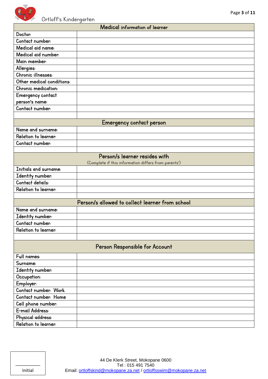

|  | Medical information of learner |  |
|--|--------------------------------|--|
|--|--------------------------------|--|

| Doctor:                   |                                                      |
|---------------------------|------------------------------------------------------|
| Contact number:           |                                                      |
| Medical aid name:         |                                                      |
| Medical aid number:       |                                                      |
| Main member:              |                                                      |
| Allergies:                |                                                      |
| Chronic illnesses:        |                                                      |
| Other medical conditions: |                                                      |
| Chronic medication:       |                                                      |
| Emergency contact         |                                                      |
| person's name:            |                                                      |
| Contact number:           |                                                      |
|                           |                                                      |
|                           | Emergency contact person                             |
| Name and surname:         |                                                      |
| Relation to learner:      |                                                      |
| Contact number:           |                                                      |
|                           |                                                      |
|                           | Person/s learner resides with                        |
|                           | (Complete if this information differs from parents') |
| Initials and surname:     |                                                      |
| Identity number:          |                                                      |
| Contact details:          |                                                      |
| Relation to learner:      |                                                      |
|                           |                                                      |
|                           | Person/s allowed to collect learner from school      |
| Name and surname:         |                                                      |
| Identity number:          |                                                      |
| Contact number:           |                                                      |
| Relation to learner:      |                                                      |
|                           |                                                      |
|                           | Person Responsible for Account                       |
| Full names:               |                                                      |
| Surname:                  |                                                      |
| Identity number:          |                                                      |
| Occupation:               |                                                      |
| Employer:                 |                                                      |
| Contact number: Work      |                                                      |
| Contact number: Home      |                                                      |
| Cell phone number:        |                                                      |
| E-mail Address:           |                                                      |
| Physical address:         |                                                      |
| Relation to learner:      |                                                      |
|                           |                                                      |

| Initial |
|---------|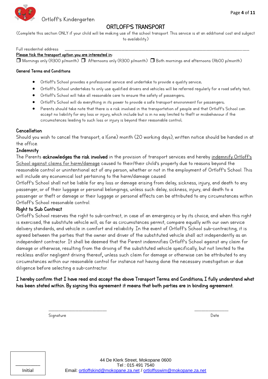



### ORTLOFF'S TRANSPORT

(Complete this section ONLY if your child will be making use of the school transport. This service is at an additional cost and subject to availability.)

#### Full residential address:

#### Please tick the transport option you are interested in:

 $\Box$  Mornings only (R300 p/month)  $\Box$  Afternoons only (R300 p/month)  $\Box$  Both mornings and afternoons (R600 p/month)

#### General Terms and Conditions

- Ortloff's School provides a professional service and undertake to provide a quality service;
- Ortloff's School undertakes to only use qualified drivers and vehicles will be referred regularly for a road safety test;
- Ortloff's School will take all reasonable care to ensure the safety of passengers;
- Ortloff's School will do everything in its power to provide a safe transport environment for passengers;
- Parents should take note that there is a risk involved in the transportation of people and that Ortloff's School can accept no liability for any loss or injury, which include but is in no way limited to theft or misbehaviour if the circumstances leading to such loss or injury is beyond their reasonable control;

#### Cancellation

Should you wish to cancel the transport, a 1(one) month (20 working days), written notice should be handed in at the office.

#### **Indemnity**

The Parents acknowledges the risk involved in the provision of transport services and hereby <u>indemnify Ortloff's</u> School against claims for harm/damage caused to their/their child's property due to reasons beyond the regsongble control or unintentiongl act of any person, whether or not in the employment of Ortloff's School. This will include any economical lost pertaining to the harm/damage caused.

Ortloff's School shall not be liable for any loss or damage arising from delay, sickness, injury, and death to any passenger, or of their luggage or personal belongings, unless such delay, sickness, injury, and death to a passenger or theft or damage or their luggage or personal effects can be attributed to any circumstances within Ortloff's School regsonable control.

#### Right to Sub Contract

Ortloff's School reserves the right to sub-contract, in case of an emergency or by its choice, and when this right is exercised, the substitute vehicle will, as far as circumstances permit, compare equally with our own service delivery standards, and vehicle in comfort and reliability. In the event of Ortloff's School sub-contracting, it is agreed between the parties that the owner and driver of the substituted vehicle shall act independently as an independent contractor. It shall be deemed that the Parent indemnifies Ortloff's School against any claim for damage or otherwise, resulting from the driving of the substituted vehicle specifically, but not limited to the reckless and/or negligent driving thereof, unless such claim for damage or otherwise can be attributed to any circumstances within our reasonable control for instance not having done the necessary investigation or due diligence before selecting a sub-contractor.

I hereby confirm that I have read and accept the above Transport Terms and Conditions; I fully understand what has been stated within. By signing this agreement it means that both parties are in binding agreement.

> \_\_\_\_\_\_\_\_\_\_\_\_\_\_\_\_\_\_\_\_\_\_\_\_\_\_\_\_\_\_\_\_\_\_\_\_\_\_\_\_\_ \_\_\_\_\_\_\_\_\_\_\_\_\_\_\_\_\_\_\_\_\_\_\_\_ Signature Date Date of the Date of the Date of the Date of the Date of the Date of the Date of the Date of the

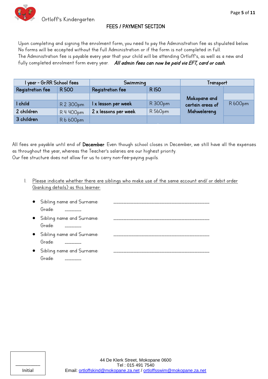#### FEES / PAYMENT SECTION

Upon completing and signing the enrolment form, you need to pay the Administration fee as stipulated below. No forms will be accepted without the full Administration or if the form is not completed in full. The Administration fee is payable every year that your child will be attending Ortloff's, as well as a new and fully completed enrolment form every year. All admin fees can now be paid via EFT, card or cash.

| I year - Gr.RR School fees |             | Swimming                        |         | Transport        |         |  |
|----------------------------|-------------|---------------------------------|---------|------------------|---------|--|
| Registration fee           | <b>R500</b> | <b>RI50</b><br>Registration fee |         |                  |         |  |
|                            |             |                                 |         | Mokopane and     |         |  |
| I child                    | R 2 300pm   | I x lesson per week             | R 300pm | certain areas of | R 600pm |  |
| 2 children                 | R 4 400pm   | 2 x lessons per week            | R 560pm | Mahwelereng      |         |  |
| 3 children                 | R6600pm     |                                 |         |                  |         |  |
|                            |             |                                 |         |                  |         |  |

All fees are payable until end of December. Even though school closes in December, we still have all the expenses as throughout the year, whereas the Teacher's salaries are our highest priority. Our fee structure does not allow for us to carry non-fee-paying pupils.

1. Please indicate whether there are siblings who make use of the same account and/ or debit order (banking details) as this learner:

| • Sibling name and Surname:<br>Grade:                |  |
|------------------------------------------------------|--|
| • Sibling name and Surname:<br>Grade:                |  |
| • Sibling name and Surname:<br>Grade:                |  |
| • Sibling name and Surname:<br>Grade:<br>----------- |  |

| Initial |  |
|---------|--|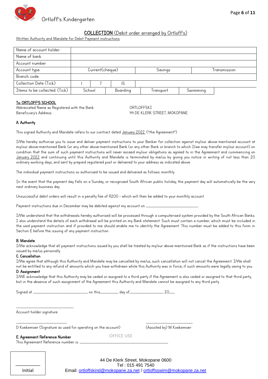

#### COLLECTION (Debit order arranged by Ortloff's)

Written Authority and Mandate for Debit Payment instructions

| Name of account holder:       |                 |  |          |           |          |              |
|-------------------------------|-----------------|--|----------|-----------|----------|--------------|
| Name of bank:                 |                 |  |          |           |          |              |
| Account number:               |                 |  |          |           |          |              |
| Account type:                 | Current(cheque) |  | Savings  |           |          | Transmission |
| Branch code:                  |                 |  |          |           |          |              |
| Collection Date (Tick)        |                 |  | I5       |           |          |              |
| Items to be collected: (Tick) | School          |  | Boarding | Transport | Swimming |              |

#### To: ORTLOFF'S SCHOOL

Abbreviated Name as Registered with the Bank ORTLOFFSKI Beneficiary's Address The Community Community Aggregation 44 DE KLERK STREET, MOKOPANE

#### A. Authority

This signed Authority and Mandate refers to our contract dated January 2022. ("the Agreement")

I/We hereby authorise you to issue and deliver payment instructions to your Banker for collection against my/our above-mentioned account at my/our above-mentioned Bank (or any other above-mentioned Bank (or any other Bank or branch to which I/we may transfer my/our account) on condition that the sum of such payment instructions will never exceed my/our obligations as agreed to in the Agreement and commencing on January 2022 and continuing until this Authority and Mandate is terminated by me/us by giving you notice in writing of not less than 20 ordinary working days, and sent by prepaid registered post or delivered to your address as indicated above.

The individual payment instructions so authorised to be issued and delivered as follows: monthly

In the event that the payment day falls on a Sunday, or recognised South African public holiday, the payment day will automatically be the very next ordinary business day.

Unsuccessful debit orders will result in a penalty fee of R200 - which will then be added to your monthly account.

Payment instructions due in December may be debited against my account on \_\_\_\_\_\_\_\_

I/We understand that the withdrawals hereby authorised will be processed through a computerised system provided by the South African Banks. I also understand the details of each withdrawal will be printed on my Bank statement. Such must contain a number, which must be included in the said payment instruction and if provided to me should enable me to identity the Agreement. This number must be added to this form in Section E before the issuing of any payment instruction.

#### B. Mandate

I/We acknowledge that all payment instructions issued by you shall be treated by my/our above-mentioned Bank as if the instructions have been issued by me/us personally.

#### C. Cancellation

I/We agree that although this Authority and Mandate may be cancelled by me/us, such cancellation will not cancel the Agreement. I/We shall not be entitled to any refund of amounts which you have withdrawn while this Authority was in force, if such amounts were legally owing to you.

#### D. Assignment

I/WE acknowledge that this Authority may be ceded or assigned to a third party if the Agreement is also ceded or assigned to that third party, but in the absence of such assignment of the Agreement this Authority and Mandate cannot be assigned to any third party.

Signed at \_\_\_\_\_\_\_\_\_\_\_\_\_\_\_\_\_\_\_\_\_\_\_\_\_\_\_\_\_\_\_\_\_\_\_\_\_\_\_\_\_\_ on this\_\_\_\_\_\_\_\_\_\_\_\_\_\_ day of\_\_\_\_\_\_\_\_\_\_\_\_\_\_\_\_\_\_\_\_\_\_\_\_\_\_ 20\_\_\_\_.

\_\_\_\_\_\_\_\_\_\_\_\_\_\_\_\_\_\_\_\_\_\_\_\_\_\_\_\_\_\_\_\_\_\_\_\_\_\_\_\_\_\_\_\_ Account holder signature

\_\_\_\_\_\_\_\_\_\_\_\_\_\_\_\_\_\_\_\_\_\_\_\_\_\_\_\_\_\_\_\_\_\_\_\_\_\_\_ \_\_\_\_\_\_\_\_\_\_\_\_\_\_\_\_\_\_\_\_\_\_\_\_\_\_\_\_\_\_\_\_\_\_\_\_ D Koekemoer (Signature as used for operating on the account) (Assisted by) M Koekemoer

#### E. Agreement Reference Number

This Agreement Reference number is: \_\_\_\_

| Initial |  |
|---------|--|

OFFICE USE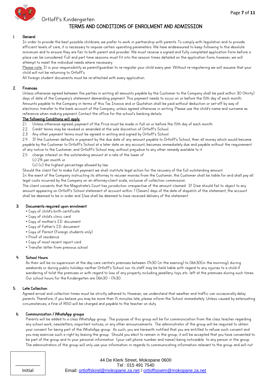

#### Ortloff's Kindergarten

#### TERMS AND CONDITIONS OF ENROLMENT AND ADMISSION

#### 1. General

In order to provide the best possible childcare, we prefer to work in partnership with parents. To comply with legislation and to provide efficient levels of care, it is necessary to impose certain operating parameters. We have endeavoured to keep following to the absolute minimum and to ensure they are fair to both parent and provider. We must receive a signed and fully completed application form before a place can be considered. Full and part time sessions must fit into the session times detailed on the application form; however, we will attempt to meet the individual needs where necessary.

Please note: It is your responsibility as parent/quardian to re-register your child every year. Without re-registering we will assume that your child will not be returning to Ortloff's.

All foreign student documents must be re-attached with every application.

#### 2. Finances

Unless otherwise agreed between the parties in writing all amounts payable by the Customer to the Company shall be paid within 30 (thirty) days of date of the Company's statement demanding payment. This payment needs to occur on or before the 15th day of each month. Amounts payable to the Company in terms of this Tax Invoice and or Quotation shall be paid without deduction or set-off by way of electronic transfer to the bank account of the Company, unless agreed otherwise in writing. Please use the child's name and surname as reference when making payment. Contact the office for the school's banking details.

#### The following Conditions will apply:

- 2.1 Unless otherwise agreed, payment of the Price must be made in full on or before the 15th day of each month.
- 2.2 Credit terms may be revoked or amended at the sole discretion of Ortloff's School.
- 2.3 Any other payment terms must be agreed in writing and signed by Ortloff's School.

2.4 If the Customer defaults in payment by the due date of any amount payable to Ortloff's School, then all money which would become payable by the Customer to Ortloff's School at a later date on any account, becomes immediately due and payable without the requirement of any notice to the Customer, and Ortloff's School may, without prejudice to any other remedy available to it:

- 2.5 charge interest on the outstanding amount at a rate of the lower of
	- (i) 2% per month or
	- (ii) (ii) the highest percentage allowed by law.

Should the client fail to make full payment we shall institute legal action for the recovery of the full outstanding amount.

In the event of the Company instructing its attorney to recover monies from the Customer, the Customer shall be liable for and shall pay all legal costs incurred by the Company on an attorney-client scale, inclusive of collection commission.

The client consents that the Magistrate's Court has jurisdiction irrespective of the amount claimed. If I/we should fail to object to any gmount appearing on Ortloff's School statement of account within 7 (Seven) days of the date of dispatch of the statement, the account shall be deemed to be in order and I/we shall be deemed to have received delivery of the statement.

#### 3. Documents required upon enrolment

- \* Copy of child's birth certificate
- \* Copy of child's clinic card
- \* Copy of mother's I.D. document
- \* Copy of Father's I.D. document
- \* Copy of Permit (Foreign students only)
- \* Proof of residence
- \* Copy of most recent report card
- \* Transfer letter from previous school

#### 4. School Hours

As their will be no supervision at the day care centre's premises between 17h30 (in the evening) to 06h30(in the morning); during weekends or during public holidays neither Ortloff's School nor its staff may be held liable with regard to any injuries to a child if wandering of to/at the premises or with regard to loss of any property including jewellery; toys, etc. left at the premises during such times. Our school hours for the Kindergarten are 06h30 - 17h30.

#### 5. Late Collection

Agreed arrival and collection times must be strictly adhered to. However, we understand that weather and traffic can occasionally delay parents. Therefore, if you believe you may be more than 15 minutes late, please inform the School immediately. Unless caused by extenuating circumstances, a fine of R150 will be charged and payable to the teacher on duty.

#### 6. Communication / WhatsApp groups

Parents will be added to a class WhatsApp group. The purpose of this group will be for communication from the class teacher regarding any school work, newsletters, important notices, or any other announcements. The administrator of the group will be required to obtain your consent for being part of the WhatsApp group. As such, you are herewith notified that you are entitled to refuse such consent and you may exercise such a right by leaving the group. Should you elect to remain in the group, it will be accepted that you have consented to be part of the group and to your personal information (your cell phone number and name) being noticeable to any person in the group. The administrators of the group will only use your information in regards to communicating information relevant to the group and will not

\_\_\_\_\_\_\_\_\_\_ Initial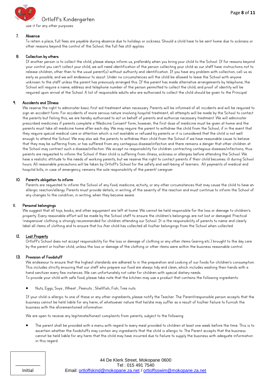

use it for any other purposes.

#### 7. Absence

To retain a place, full fees are payable during absence due to holidays or sickness. Should a child have to be sent home due to sickness or other reasons beyond the control of the School, the full fee still applies.

#### 8. Collection by others

If another person is to collect the child, please always inform us, preferably when you bring your child to the School. If for reasons beyond your control you can<sup>4</sup>t collect your child, we will need identification of the person collecting your child as our staff have instructions not to release children, other than to the usual parent(s) without authority and identification. If you have any problem with collection, call us as early as possible, and we will endeavour to assist. Under no circumstances will the child be allowed to leave the School with anyone unknown to the staff unless the parent has previously arranged this. If the parent has made alternative arrangements by telephone, the School will require a name, address and telephone number of the person permitted to collect the child, and proof of identity will be required upon arrival at the School. A list of responsible adults who are authorised to collect the child should be given to the Principal.

#### 9. Accidents and Illness

We reserve the right to administer basic first aid treatment when necessary. Parents will be informed of all incidents and will be required to sign an accident form. For accidents of more serious nature involving hospital treatment, all attempts will be made by the School to contact the parents but failing this, we are hereby authorised to act on behalf of parents and authorise necessary treatment. We will administer prescribed medicines if parents complete a 'Medicine Consent' form, however, the first dose of medicine must be given at home and the parents must take all medicine home after each day. We may require the parent to withdraw the child from the School, if in the event that they require special medical care or attention which is not available or refused by parents or it is considered that the child is not well enough to attend the School. We may also ask the parents to withdraw their child from the School if we have reasonable cause to believe that they may be suffering from, or has suffered from any contagious disease/infection and there remains a danger that other children at the School may contract such a disease/infection. We accept no responsibility for children contracting contagious diseases/infections, thus parents are requested to inform the School if their child is suffering from illness, sickness or allergies before attending the School. We have a realistic attitude to the needs of working parents, but we reserve the right to contact parents if their child becomes ill during School hours. All reasonable precautions will be taken by Ortloff's School for the safety and well-being of learners. All payments of medical and hospital bills, in case of emergency, remains the sole responsibility of the parent/ caregiver.

#### 10. Parent's obligation to inform

Parents are requested to inform the School of any food, medicine, activity, or any other circumstances that may cause the child to have an allergic reaction/allergy. Parents must provide details, in writing, of the severity of the reaction and must continue to inform the School of any changes to the condition, in writing, when they become aware.

#### 11. Personal belongings

We suggest that all toys, books, and other equipment are left at home. We cannot be held responsible for the loss or damage to children's property. Every reasonable effort will be made by the School staff to ensure the children's belongings are not lost or damaged. Practical 'inexpensive' clothing is strongly recommended for children attending our School. It is the responsibility of parents to name and clearly label all items of clothing and to ensure that his /her child has collected all his/her belongings from the School when collected.

#### 12. Lost Property

Ortloff's School does not accept responsibility for the loss or damage of clothing or any other items (earing etc.) brought to the day care by the parent or his/her child, unless the loss or damage of the clothing or other items were within the business reasonable control.

#### 13. Provision of Foodstuff

We endeavour to ensure that the highest standards are adhered to in the preparation and cooking of our foods for children's consumption. This includes strictly ensuring that our staff who prepare our food are always tidy and clean, which includes washing their hands with a hand sanitizer every few instances. We can unfortunately not cater for children with special dietary needs. To provide your child with safe food, please take note that the kitchen may use a product that contains the following ingredients:

Nuts, Eggs, Soya , Wheat , Peanuts , Shellfish, Fish, Tree nuts

If your child is allergic to one of these or any other ingredients, please notify the Teacher. The Parent/responsible person accepts that the business cannot be held liable for any harm, of whatsoever nature that he/she may suffer as a result of his/her failure to furnish the business with the aforementioned information.

We are open to receive any legitimate/honest complaints from parents, subject to the following:

 The parent shall be provided with a menu with regard to every meal provided to children at least one week before the time. This is to ascertain whether the foodstuffs may contain any ingredients that the child is allergic to. The Parent accepts that the business cannot be held liable for any harm that the child may have incurred due to failure to supply the business with adequate information in this regard.

\_\_\_\_\_\_\_\_\_\_ Initial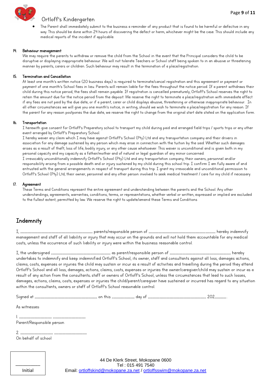

#### Ortloff's Kindergarten

 The Parent shall immediately submit to the business a reminder of any product that is found to be harmful or defective in any way. This should be done within 24 hours of discovering the defect or harm, whichever might be the case. This should include any medical reports of the incident if applicable.

#### 14. Behaviour management

We may require the parents to withdraw or remove the child from the School in the event that the Principal considers the child to be disruptive or displaying inappropriate behaviour. We will not tolerate Teachers or School staff being spoken to in an abusive or threatening manner by parents, carers or children. Such behaviour may result in the termination of a place/registration.

#### 15. Termination and Cancellation

At least one month's written notice (20 business days) is required to terminate/cancel registration and this agreement or payment or payment of one month's School fees in lieu. Parents will remain liable for the fees throughout the notice period. If a parent withdraws their child during this notice period, the fees shall remain payable. If registration is cancelled prematurely, Ortloff's School reserves the right to retain the amount due for the notice period from the deposit. We reserve the right to terminate a place/registration with immediate effect if any fees are not paid by the due date, or if a parent, carer or child displays abusive, threatening or otherwise inappropriate behaviour. In gll other circumstances we will give you one month's notice, in writing, should we wish to terminate a place/registration for any reason. If the parent for any reason postpones the due date, we reserve the right to change from the original start date stated on the application form.

#### 16. Transportation

I herewith give consent for Ortloff's Preparatory school to transport my child during paid and arranged field trips / sports trips or any other event arranged by Ortloff's Preparatory School.

I hereby waiver any claim which I may have against Ortloff's School (Pty) Ltd and any transportation company and their drivers in association for any damage sustained by any person which may arise in connection with the tuition by the said. Whether such damages arises as a result of theft, loss of life, bodily injury, or any other cause whatsoever. This waiver is unconditional and is given both in my personal capacity and my capacity as a father/mother and of natural or legal guardian of any minor concerned. I irrevocably unconditionally indemnify Ortloff's School (Pty) Ltd and any transportation company, their owners, personnel and/or responsibility arising from a possible death and or injury sustained by my child during this school trip. I confirm I am fully aware of and entrusted with the general arrangements in respect of transport during this trip. I grant my irrevocable and unconditional permission to Ortloff's School (Pty) Ltd, their owner, personnel and any other person involved to seek medical treatment / care for my child if necessary.

#### 17. Agreement

These Terms and Conditions represent the entire agreement and understanding between the parents and the School. Any other understandings, agreements, warranties, conditions, terms, or representations, whether verbal or written, expressed or implied are excluded to the fullest extent, permitted by law. We reserve the right to update/amend these Terms and Conditions

#### **Indemnity**

I, \_\_\_\_\_\_\_\_\_\_\_\_\_\_\_\_\_\_\_\_\_\_\_\_\_\_\_\_\_\_\_\_\_\_\_\_\_\_\_\_\_\_\_\_\_\_\_\_\_\_\_ parents/responsible person of \_\_\_\_\_\_\_\_\_\_\_\_\_\_\_\_\_\_\_\_\_\_\_\_\_\_\_\_\_\_\_\_\_\_\_\_\_\_\_\_\_\_\_\_\_\_\_ hereby indemnify management and staff of all liability or injury that may occur on the grounds and will not hold them accountable for any medical costs, unless the occurrence of such liability or injury were within the business reasonable control.

I, the undersigned \_\_\_\_\_\_\_\_\_\_\_\_\_\_\_\_\_\_\_\_\_\_\_\_\_\_\_\_\_\_\_\_\_\_\_\_\_\_\_\_\_\_ as parent/responsible person of \_\_\_\_\_\_\_\_\_\_\_\_\_\_\_\_\_\_\_\_\_\_\_\_\_\_\_\_\_\_\_\_\_\_\_\_\_\_\_\_\_\_\_ hereby undertakes to indemnify and keep indemnified Ortloff's School, its owner, staff and consultants against all loss, damages actions, claims, costs, expenses or injuries the child may sustain or incur as a result of activities and travelling during the period they attend Ortloff's School and all loss, damages, actions, claims, costs, expenses or injuries the owner/caregiver/child may sustain or incur as a result of any action from the consultants; staff or owners of Ortloff's School, unless the circumstances that lead to such losses, damages, actions, claims, costs, expenses or injuries the child/parent/caregiver have sustained or incurred has regard to any situation within the consultants, owners or staff of Ortloff's School reasonable control.

Signed at \_\_\_\_\_\_\_\_\_\_\_\_\_\_\_\_\_\_\_\_\_\_\_\_\_\_\_\_\_\_\_\_\_\_\_\_\_\_\_\_\_\_\_\_ on this \_\_\_\_\_\_\_\_\_\_\_\_\_\_\_\_ day of \_\_\_\_\_\_\_\_\_\_\_\_\_\_\_\_\_\_\_\_\_\_\_\_\_\_\_\_\_\_\_\_\_\_\_\_\_\_\_\_\_ 202\_\_\_\_\_\_\_\_..

As witnesses:

| Parent/Responsible person |  |  |
|---------------------------|--|--|

2. \_\_\_\_\_\_\_\_\_\_\_\_\_\_\_\_\_\_\_\_\_\_\_ \_\_\_\_\_\_\_\_\_\_\_\_\_\_\_\_\_\_\_\_\_\_\_ On behalf of school

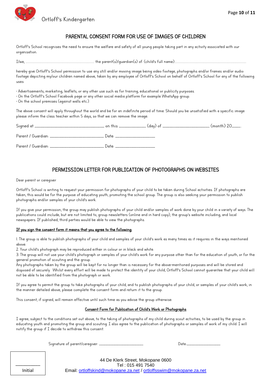

#### PARENTAL CONSENT FORM FOR USE OF IMAGES OF CHILDREN

Ortloff's School recognises the need to ensure the welfare and safety of all young people taking part in any activity associated with our organisation.

I/ye, ………………………………………………………………………………………………….. vie rgtepv(u)/hwgtjkgp(u) qf: (ciknj"u fwnn pgoe)…………………………………………………………….…………………………………………

hereby give Ortloff's School permission to use any still and/or moving image being video footage, photographs and/or frames and/or audio footage depicting my/our children named above, taken by any employee of Ortloff's School on behalf of Ortloff's School for any of the following uses:

• Advertisements, marketing, leaflets, or any other use such as for training, educational or publicity purposes.

• On the Ortloff's School Facebook page or any other social media platform for example WhatsApp group.

 $\cdot$  On the school premises (against walls etc.).

The above consent will apply throughout the world and be for an indefinite period of time. Should you be unsatisfied with a specific image please inform the class teacher within 5 days, so that we can remove the image.

|                                                             | <sub>-</sub> (month) 20 <sub>-------</sub> |
|-------------------------------------------------------------|--------------------------------------------|
| Parent / Guardian: ________________________________ Date: _ |                                            |
| Parent / Guardian: ________________________________ Date: , |                                            |

#### PERMISSION LETTER FOR PUBLICATION OF PHOTOGRAPHS ON WEBSITES

Dear parent or caregiver

Ortloff's School is writing to request your permission for photographs of your child to be taken during School activities. If photographs are taken, this would be for the purpose of educating youth, promoting the school group. The group is also seeking your permission to publish photographs and/or samples of your child's work.

If you give your permission, the group may publish photographs of your child and/or samples of work done by your child in a variety of ways. The publications could include, but are not limited to, group newsletters (online and in hard copy), the group's website including, and local newspapers. If published, third parties would be able to view the photographs.

#### If you sign the consent form it means that you agree to the following:

1. The group is able to publish photographs of your child and samples of your child's work as many times as it requires in the ways mentioned above.

2. Your child's photograph may be reproduced either in colour or in black and white.

3. The group will not use your child's photograph or samples of your child's work for any purpose other than for the education of youth, or for the general promotion of scouting and the group.

Any photographs taken by the group will be kept for no longer than is necessary for the above-mentioned purposes and will be stored and disposed of securely. Whilst every effort will be made to protect the identity of your child, Ortloff's School cannot quarantee that your child will not be able to be identified from the photograph or work.

If you agree to permit the group to take photographs of your child, and to publish photographs of your child, or samples of your child's work, in the manner detailed above, please complete the consent form and return it to the group.

This consent, if signed, will remain effective until such time as you advise the group otherwise.

#### Consent Form for Publication of Child's Work or Photographs

I agree, subject to the conditions set out above, to the taking of photographs of my child during scout activities, to be used by the group in educating youth and promoting the group and scouting. I also agree to the publication of photographs or samples of work of my child. I will notify the group if I decide to withdraw this consent.

Signature of parent/caregiver: \_\_\_\_

| Date:<br>_______________ |  |
|--------------------------|--|

| Initial |  |
|---------|--|

44 De Klerk Street, Mokopane 0600 Tel : 015 491 7540 Email: ortloffskind@mokopane.za.net / ortloffsswim@mokopane.za.net